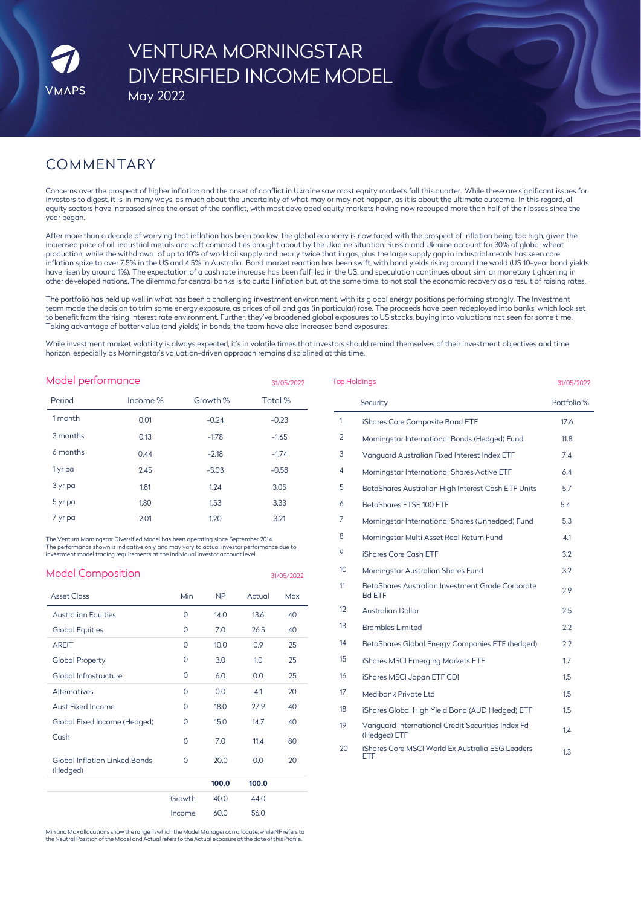# VENTURA MORNINGSTAR DIVERSIFIED INCOME MODEL May 2022

# COMMENTARY

Concerns over the prospect of higher inflation and the onset of conflict in Ukraine saw most equity markets fall this quarter. While these are significant issues for investors to digest, it is, in many ways, as much about the uncertainty of what may or may not happen, as it is about the ultimate outcome. In this regard, all equity sectors have increased since the onset of the conflict, with most developed equity markets having now recouped more than half of their losses since the year began.

After more than a decade of worrying that inflation has been too low, the global economy is now faced with the prospect of inflation being too high, given the increased price of oil, industrial metals and soft commodities brought about by the Ukraine situation. Russia and Ukraine account for 30% of global wheat production; while the withdrawal of up to 10% of world oil supply and nearly twice that in gas, plus the large supply gap in industrial metals has seen core inflation spike to over 7.5% in the US and 4.5% in Australia. Bond market reaction has been swift, with bond yields rising around the world (US 10-year bond yields have risen by around 1%). The expectation of a cash rate increase has been fulfilled in the US, and speculation continues about similar monetary tightening in other developed nations. The dilemma for central banks is to curtail inflation but, at the same time, to not stall the economic recovery as a result of raising rates.

The portfolio has held up well in what has been a challenging investment environment, with its global energy positions performing strongly. The Investment team made the decision to trim some energy exposure, as prices of oil and gas (in particular) rose. The proceeds have been redeployed into banks, which look set to benefit from the rising interest rate environment. Further, they've broadened global exposures to US stocks, buying into valuations not seen for some time. Taking advantage of better value (and yields) in bonds, the team have also increased bond exposures.

While investment market volatility is always expected, it's in volatile times that investors should remind themselves of their investment objectives and time horizon, especially as Morningstar's valuation-driven approach remains disciplined at this time.

| Model performance<br>31/05/2022 |          |          |         |  |  |
|---------------------------------|----------|----------|---------|--|--|
| Period                          | Income % | Growth % | Total % |  |  |
| 1 month                         | 0.01     | $-0.24$  | $-0.23$ |  |  |
| 3 months                        | 0.13     | $-1.78$  | $-1.65$ |  |  |
| 6 months                        | 0.44     | $-2.18$  | $-1.74$ |  |  |
| 1 yr pa                         | 2.45     | $-3.03$  | $-0.58$ |  |  |
| 3 yr pa                         | 1.81     | 1.24     | 3.05    |  |  |
| 5 yr pa                         | 1.80     | 1.53     | 3.33    |  |  |
| 7 yr pa                         | 2.01     | 1.20     | 3.21    |  |  |

The Ventura Morningstar Diversified Model has been operating since September 2014. The performance shown is indicative only and may vary to actual investor performance due to investment model trading requirements at the individual investor account level.

| <b>Model Composition</b>                         |          |       |        | 31/05/2022 |
|--------------------------------------------------|----------|-------|--------|------------|
| <b>Asset Class</b>                               | Min      | NΡ    | Actual | Max        |
| <b>Australian Equities</b>                       | $\Omega$ | 14.0  | 13.6   | 40         |
| <b>Global Equities</b>                           | $\Omega$ | 7.0   | 26.5   | 40         |
| <b>AREIT</b>                                     | $\Omega$ | 10.0  | 0.9    | 25         |
| <b>Global Property</b>                           | O        | 3.0   | 1.0    | 25         |
| Global Infrastructure                            | $\Omega$ | 6.0   | 0.0    | 25         |
| <b>Alternatives</b>                              | $\Omega$ | 0.0   | 4.1    | 20         |
| Aust Fixed Income                                | $\Omega$ | 18.0  | 27.9   | 40         |
| Global Fixed Income (Hedged)                     | 0        | 15.0  | 14.7   | 40         |
| Cash                                             | $\Omega$ | 70    | 11.4   | 80         |
| <b>Global Inflation Linked Bonds</b><br>(Hedged) | $\Omega$ | 20.0  | 0.0    | 20         |
|                                                  |          | 100.0 | 100.0  |            |
|                                                  | Growth   | 40.0  | 44.0   |            |
|                                                  | Income   | 60.0  | 56.0   |            |

Minand Max allocations show the range inwhichthe Model Manager canallocate, while NP refers to the Neutral Position of the Model and Actual refers to the Actual exposure at the date of this Profile

| <b>Top Holdings</b> | 31/05/2022                                                        |             |
|---------------------|-------------------------------------------------------------------|-------------|
|                     | Security                                                          | Portfolio % |
| $\mathbf{1}$        | iShares Core Composite Bond ETF                                   | 17.6        |
| 2                   | Morningstar International Bonds (Hedged) Fund                     | 11.8        |
| 3                   | Vanquard Australian Fixed Interest Index ETF                      | 7.4         |
| 4                   | Morningstar International Shares Active ETF                       | 6.4         |
| 5                   | BetaShares Australian High Interest Cash ETF Units                | 5.7         |
| 6                   | BetaShares FTSE 100 ETF                                           | 5.4         |
| 7                   | Morningstar International Shares (Unhedged) Fund                  | 5.3         |
| 8                   | Morningstar Multi Asset Real Return Fund                          | 4.1         |
| 9                   | iShares Core Cash ETF                                             | 3.2         |
| 10 <sup>2</sup>     | Morningstar Australian Shares Fund                                | 3.2         |
| 11                  | BetaShares Australian Investment Grade Corporate<br><b>Bd ETF</b> | 2.9         |
| 12                  | Australian Dollar                                                 | 2.5         |
| 13                  | <b>Brambles Limited</b>                                           | 2.2         |
| 14                  | BetaShares Global Energy Companies ETF (hedged)                   | 2.2         |
| 15                  | iShares MSCI Emerging Markets ETF                                 | 1.7         |
| 16                  | iShares MSCI Japan ETF CDI                                        | 1.5         |
| 17                  | Medibank Private Ltd                                              | 1.5         |
| 18                  | iShares Global High Yield Bond (AUD Hedged) ETF                   | 1.5         |
| 19                  | Vanguard International Credit Securities Index Fd<br>(Hedged) ETF | 1.4         |
| 20                  | iShares Core MSCI World Ex Australia ESG Leaders<br><b>ETF</b>    | 1.3         |